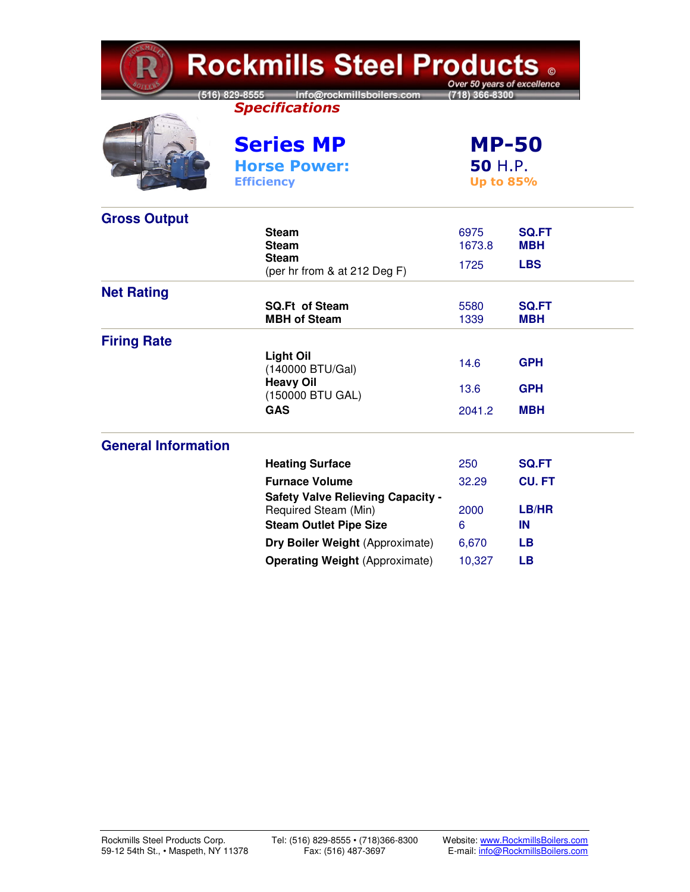| <b>Rockmills Steel Products 。</b><br>Over 50 years of excellence |                                                                                   |                                             |                            |  |  |
|------------------------------------------------------------------|-----------------------------------------------------------------------------------|---------------------------------------------|----------------------------|--|--|
|                                                                  | [516] 829-8555 Info@rockmillsboilers.com<br>18) 366-8300<br><b>Specifications</b> |                                             |                            |  |  |
|                                                                  | <b>Series MP</b>                                                                  | <b>MP-50</b><br>50 H.P.<br><b>Up to 85%</b> |                            |  |  |
|                                                                  | <b>Horse Power:</b><br><b>Efficiency</b>                                          |                                             |                            |  |  |
| <b>Gross Output</b>                                              |                                                                                   |                                             |                            |  |  |
|                                                                  | <b>Steam</b><br><b>Steam</b>                                                      | 6975<br>1673.8                              | <b>SQ.FT</b><br>MBH        |  |  |
|                                                                  | <b>Steam</b><br>(per hr from & at 212 Deg F)                                      | 1725                                        | <b>LBS</b>                 |  |  |
| <b>Net Rating</b>                                                |                                                                                   |                                             |                            |  |  |
|                                                                  | <b>SQ.Ft of Steam</b><br><b>MBH of Steam</b>                                      | 5580<br>1339                                | <b>SQ.FT</b><br><b>MBH</b> |  |  |
| <b>Firing Rate</b>                                               |                                                                                   |                                             |                            |  |  |
|                                                                  | <b>Light Oil</b><br>(140000 BTU/Gal)                                              | 14.6                                        | <b>GPH</b>                 |  |  |
|                                                                  | <b>Heavy Oil</b><br>(150000 BTU GAL)                                              | 13.6                                        | <b>GPH</b>                 |  |  |
|                                                                  | <b>GAS</b>                                                                        | 2041.2                                      | <b>MBH</b>                 |  |  |
| <b>General Information</b>                                       |                                                                                   |                                             |                            |  |  |
|                                                                  | <b>Heating Surface</b>                                                            | 250                                         | <b>SQ.FT</b>               |  |  |
|                                                                  | <b>Furnace Volume</b>                                                             | 32.29                                       | <b>CU.FT</b>               |  |  |
|                                                                  | <b>Safety Valve Relieving Capacity -</b>                                          |                                             |                            |  |  |
|                                                                  | Required Steam (Min)<br><b>Steam Outlet Pipe Size</b>                             | 2000<br>6                                   | LB/HR<br>IN                |  |  |
|                                                                  | Dry Boiler Weight (Approximate)                                                   | 6,670                                       | <b>LB</b>                  |  |  |
|                                                                  | <b>Operating Weight (Approximate)</b>                                             | 10,327                                      | <b>LB</b>                  |  |  |
|                                                                  |                                                                                   |                                             |                            |  |  |

**KMIT**